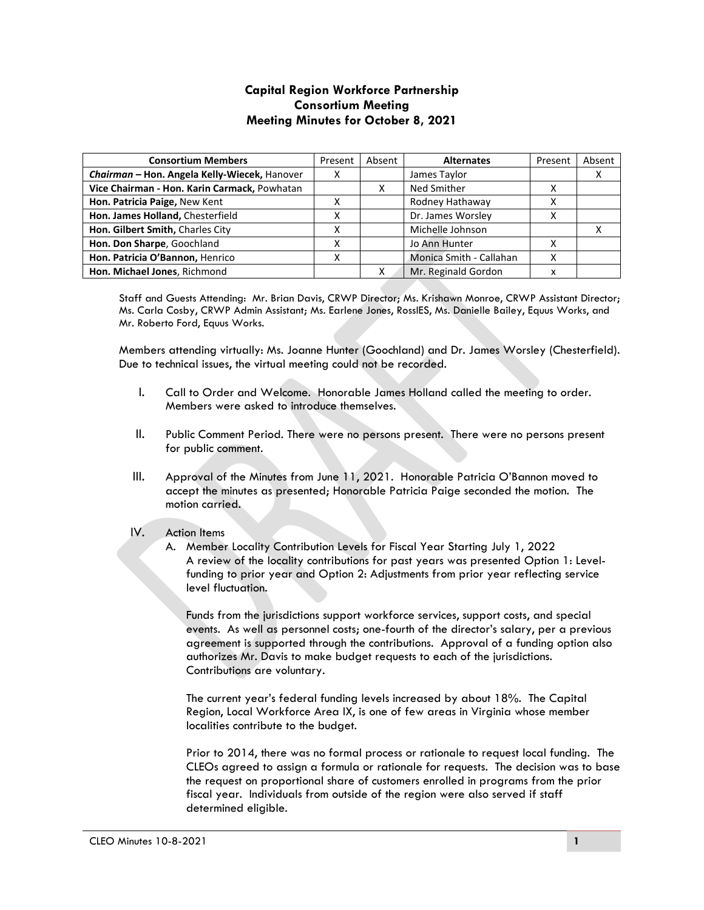## **Capital Region Workforce Partnership Consortium Meeting Meeting Minutes for October 8, 2021**

| <b>Consortium Members</b>                    | Present | Absent | <b>Alternates</b>       | Present | Absent |
|----------------------------------------------|---------|--------|-------------------------|---------|--------|
| Chairman - Hon. Angela Kelly-Wiecek, Hanover | ⋏       |        | James Taylor            |         |        |
| Vice Chairman - Hon. Karin Carmack, Powhatan |         |        | Ned Smither             |         |        |
| Hon. Patricia Paige, New Kent                |         |        | Rodney Hathaway         |         |        |
| Hon. James Holland, Chesterfield             |         |        | Dr. James Worsley       |         |        |
| Hon. Gilbert Smith, Charles City             |         |        | Michelle Johnson        |         |        |
| Hon. Don Sharpe, Goochland                   | л       |        | Jo Ann Hunter           | х       |        |
| Hon. Patricia O'Bannon, Henrico              | ⋏       |        | Monica Smith - Callahan | х       |        |
| Hon. Michael Jones, Richmond                 |         |        | Mr. Reginald Gordon     | x       |        |

Staff and Guests Attending: Mr. Brian Davis, CRWP Director; Ms. Krishawn Monroe, CRWP Assistant Director; Ms. Carla Cosby, CRWP Admin Assistant; Ms. Earlene Jones, RossIES, Ms. Danielle Bailey, Equus Works, and Mr. Roberto Ford, Equus Works.

Members attending virtually: Ms. Joanne Hunter (Goochland) and Dr. James Worsley (Chesterfield). Due to technical issues, the virtual meeting could not be recorded.

- I. Call to Order and Welcome. Honorable James Holland called the meeting to order. Members were asked to introduce themselves.
- II. Public Comment Period. There were no persons present. There were no persons present for public comment.
- III. Approval of the Minutes from June 11, 2021. Honorable Patricia O'Bannon moved to accept the minutes as presented; Honorable Patricia Paige seconded the motion. The motion carried.

## IV. Action Items

A. Member Locality Contribution Levels for Fiscal Year Starting July 1, 2022 A review of the locality contributions for past years was presented Option 1: Levelfunding to prior year and Option 2: Adjustments from prior year reflecting service level fluctuation.

Funds from the jurisdictions support workforce services, support costs, and special events. As well as personnel costs; one-fourth of the director's salary, per a previous agreement is supported through the contributions. Approval of a funding option also authorizes Mr. Davis to make budget requests to each of the jurisdictions. Contributions are voluntary.

The current year's federal funding levels increased by about 18%. The Capital Region, Local Workforce Area IX, is one of few areas in Virginia whose member localities contribute to the budget.

Prior to 2014, there was no formal process or rationale to request local funding. The CLEOs agreed to assign a formula or rationale for requests. The decision was to base the request on proportional share of customers enrolled in programs from the prior fiscal year. Individuals from outside of the region were also served if staff determined eligible.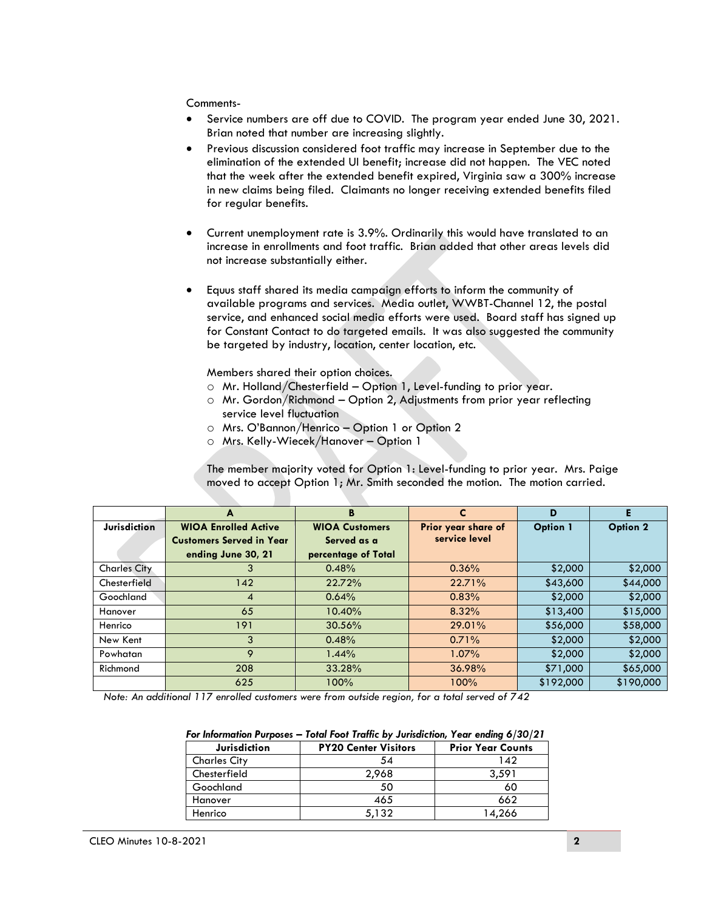Comments-

- Service numbers are off due to COVID. The program year ended June 30, 2021. Brian noted that number are increasing slightly.
- Previous discussion considered foot traffic may increase in September due to the elimination of the extended UI benefit; increase did not happen. The VEC noted that the week after the extended benefit expired, Virginia saw a 300% increase in new claims being filed. Claimants no longer receiving extended benefits filed for regular benefits.
- Current unemployment rate is 3.9%. Ordinarily this would have translated to an increase in enrollments and foot traffic. Brian added that other areas levels did not increase substantially either.
- Equus staff shared its media campaign efforts to inform the community of available programs and services. Media outlet, WWBT-Channel 12, the postal service, and enhanced social media efforts were used. Board staff has signed up for Constant Contact to do targeted emails. It was also suggested the community be targeted by industry, location, center location, etc.

Members shared their option choices.

- o Mr. Holland/Chesterfield Option 1, Level-funding to prior year.
- $\circ$  Mr. Gordon/Richmond Option 2, Adjustments from prior year reflecting service level fluctuation
- o Mrs. O'Bannon/Henrico Option 1 or Option 2
- o Mrs. Kelly-Wiecek/Hanover Option 1

The member majority voted for Option 1: Level-funding to prior year. Mrs. Paige moved to accept Option 1; Mr. Smith seconded the motion. The motion carried.

|                     | A                               | B                     | C                   | D               | Е               |
|---------------------|---------------------------------|-----------------------|---------------------|-----------------|-----------------|
| <b>Jurisdiction</b> | <b>WIOA Enrolled Active</b>     | <b>WIOA Customers</b> | Prior year share of | <b>Option 1</b> | <b>Option 2</b> |
|                     | <b>Customers Served in Year</b> | Served as a           | service level       |                 |                 |
|                     | ending June 30, 21              | percentage of Total   |                     |                 |                 |
| <b>Charles City</b> | 3                               | 0.48%                 | 0.36%               | \$2,000         | \$2,000         |
| Chesterfield        | 142                             | 22.72%                | 22.71%              | \$43,600        | \$44,000        |
| Goochland           | $\overline{4}$                  | 0.64%                 | 0.83%               | \$2,000         | \$2,000         |
| Hanover             | 65                              | 10.40%                | 8.32%               | \$13,400        | \$15,000        |
| Henrico             | 191                             | 30.56%                | 29.01%              | \$56,000        | \$58,000        |
| New Kent            | 3                               | 0.48%                 | 0.71%               | \$2,000         | \$2,000         |
| Powhatan            | 9                               | 1.44%                 | $1.07\%$            | \$2,000         | \$2,000         |
| Richmond            | 208                             | 33.28%                | 36.98%              | \$71,000        | \$65,000        |
|                     | 625                             | 100%                  | 100%                | \$192,000       | \$190,000       |

*Note: An additional 117 enrolled customers were from outside region, for a total served of 742*

| For Information Purposes — Total Foot Traffic by Jurisdiction, Year ending 6/30/21 |                             |                          |  |  |
|------------------------------------------------------------------------------------|-----------------------------|--------------------------|--|--|
| <b>Jurisdiction</b>                                                                | <b>PY20 Center Visitors</b> | <b>Prior Year Counts</b> |  |  |
| <b>Charles City</b>                                                                | 54                          | 142                      |  |  |
| Chesterfield                                                                       | 2,968                       | 3.591                    |  |  |
| Goochland                                                                          | 50                          | 60                       |  |  |
| Hanover                                                                            | 465                         | 662                      |  |  |
| Henrico                                                                            | 5,132                       | 14,266                   |  |  |

| For Information Purposes — Total Foot Traffic by Jurisdiction, Year ending $6/30/21$ |  |  |
|--------------------------------------------------------------------------------------|--|--|
|                                                                                      |  |  |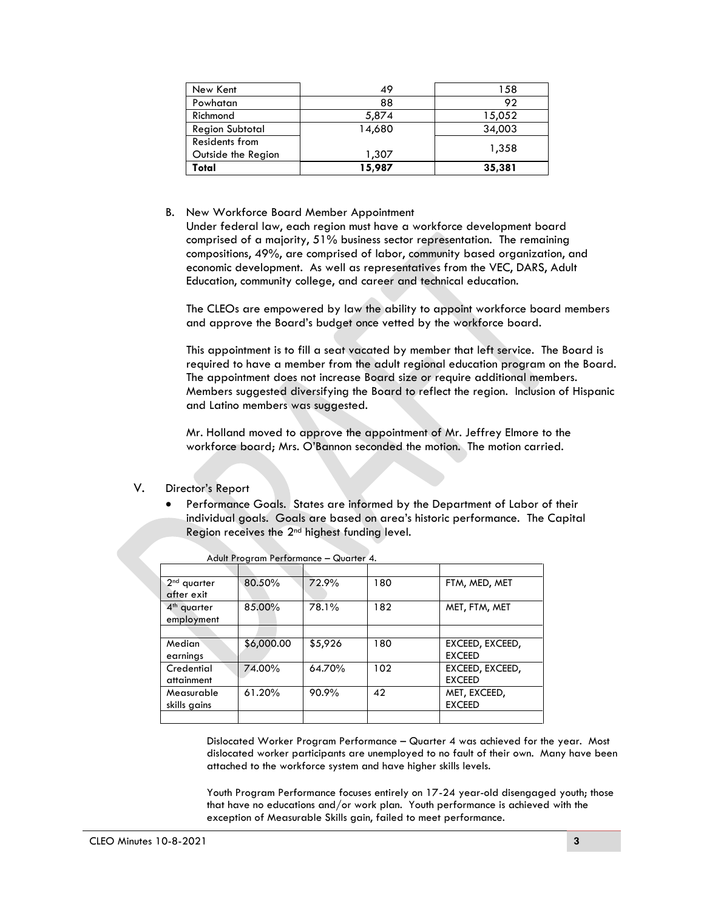| New Kent               | 49     | 158    |
|------------------------|--------|--------|
| Powhatan               | 88     | 92     |
| Richmond               | 5,874  | 15,052 |
| <b>Region Subtotal</b> | 14,680 | 34,003 |
| Residents from         |        | 1,358  |
| Outside the Region     | 1,307  |        |
| Total                  | 15,987 | 35,381 |

B. New Workforce Board Member Appointment

Under federal law, each region must have a workforce development board comprised of a majority, 51% business sector representation. The remaining compositions, 49%, are comprised of labor, community based organization, and economic development. As well as representatives from the VEC, DARS, Adult Education, community college, and career and technical education.

The CLEOs are empowered by law the ability to appoint workforce board members and approve the Board's budget once vetted by the workforce board.

This appointment is to fill a seat vacated by member that left service. The Board is required to have a member from the adult regional education program on the Board. The appointment does not increase Board size or require additional members. Members suggested diversifying the Board to reflect the region. Inclusion of Hispanic and Latino members was suggested.

Mr. Holland moved to approve the appointment of Mr. Jeffrey Elmore to the workforce board; Mrs. O'Bannon seconded the motion. The motion carried.

## V. Director's Report

 Performance Goals. States are informed by the Department of Labor of their individual goals. Goals are based on area's historic performance. The Capital Region receives the 2nd highest funding level.

| $2nd$ quarter           | 80.50%     | 72.9%   | 180 | FTM, MED, MET   |
|-------------------------|------------|---------|-----|-----------------|
| after exit              |            |         |     |                 |
| 4 <sup>th</sup> quarter | 85.00%     | 78.1%   | 182 | MET, FTM, MET   |
| employment              |            |         |     |                 |
|                         |            |         |     |                 |
| Median                  | \$6,000.00 | \$5,926 | 180 | EXCEED, EXCEED, |
| earnings                |            |         |     | <b>EXCEED</b>   |
| Credential              | 74.00%     | 64.70%  | 102 | EXCEED, EXCEED, |
| attainment              |            |         |     | <b>EXCEED</b>   |
| Measurable              | 61.20%     | 90.9%   | 42  | MET, EXCEED,    |
| skills gains            |            |         |     | <b>EXCEED</b>   |
|                         |            |         |     |                 |

Adult Program Performance – Quarter 4.

Dislocated Worker Program Performance – Quarter 4 was achieved for the year. Most dislocated worker participants are unemployed to no fault of their own. Many have been attached to the workforce system and have higher skills levels.

Youth Program Performance focuses entirely on 17-24 year-old disengaged youth; those that have no educations and/or work plan. Youth performance is achieved with the exception of Measurable Skills gain, failed to meet performance.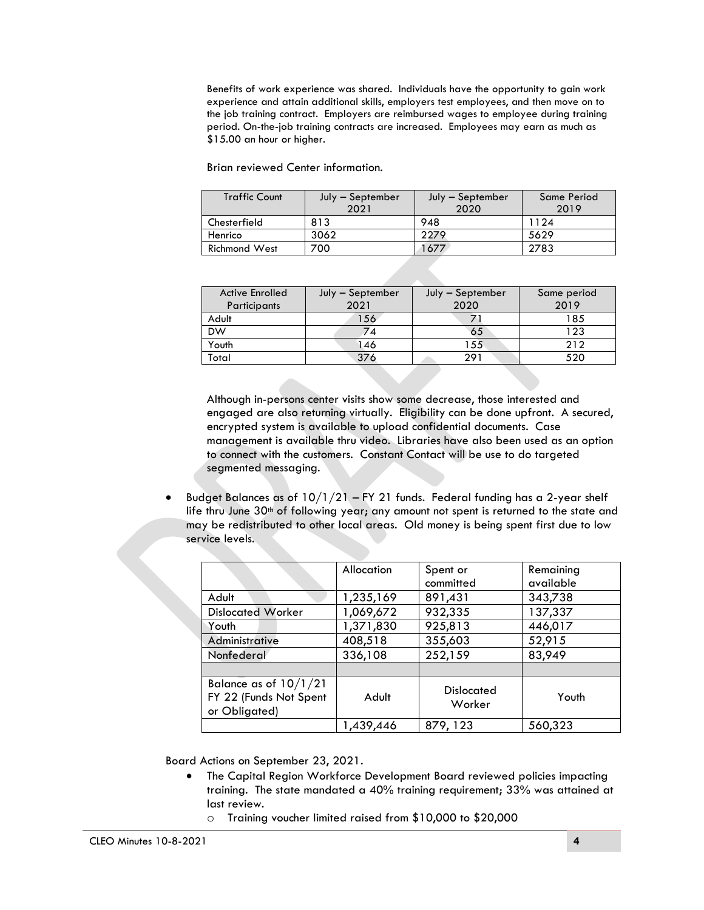Benefits of work experience was shared. Individuals have the opportunity to gain work experience and attain additional skills, employers test employees, and then move on to the job training contract. Employers are reimbursed wages to employee during training period. On-the-job training contracts are increased. Employees may earn as much as \$15.00 an hour or higher.

Brian reviewed Center information.

| <b>Traffic Count</b> | July – September | July - September | Same Period |
|----------------------|------------------|------------------|-------------|
|                      | 2021             | 2020             | 2019        |
| Chesterfield         | 813              | 948              | 1124        |
| Henrico              | 3062             | 2279             | 5629        |
| <b>Richmond West</b> | 700              | 677              | 2783        |

| <b>Active Enrolled</b><br>Participants | July - September<br>2021 | July - September<br>2020 | Same period<br>2019 |
|----------------------------------------|--------------------------|--------------------------|---------------------|
| Adult                                  | 156                      |                          | 185                 |
| <b>DW</b>                              | 74                       | 65                       | 123                 |
| Youth                                  | 46                       | 155                      | 212                 |
| Total                                  | 376                      | 291                      | 520                 |

Although in-persons center visits show some decrease, those interested and engaged are also returning virtually. Eligibility can be done upfront. A secured, encrypted system is available to upload confidential documents. Case management is available thru video. Libraries have also been used as an option to connect with the customers. Constant Contact will be use to do targeted segmented messaging.

Budget Balances as of  $10/1/21$  – FY 21 funds. Federal funding has a 2-year shelf life thru June 30<sup>th</sup> of following year; any amount not spent is returned to the state and may be redistributed to other local areas. Old money is being spent first due to low service levels.

|                                                                    | Allocation | Spent or<br>committed       | Remaining<br>available |
|--------------------------------------------------------------------|------------|-----------------------------|------------------------|
| Adult                                                              | 1,235,169  | 891,431                     | 343,738                |
| <b>Dislocated Worker</b>                                           | 1,069,672  | 932,335                     | 137,337                |
| Youth                                                              | 1,371,830  | 925,813                     | 446,017                |
| Administrative                                                     | 408,518    | 355,603                     | 52,915                 |
| Nonfederal                                                         | 336,108    | 252,159                     | 83,949                 |
|                                                                    |            |                             |                        |
| Balance as of $10/1/21$<br>FY 22 (Funds Not Spent<br>or Obligated) | Adult      | <b>Dislocated</b><br>Worker | Youth                  |
|                                                                    | 1,439,446  | 879, 123                    | 560,323                |

Board Actions on September 23, 2021.

- The Capital Region Workforce Development Board reviewed policies impacting training. The state mandated a 40% training requirement; 33% was attained at last review.
	- o Training voucher limited raised from \$10,000 to \$20,000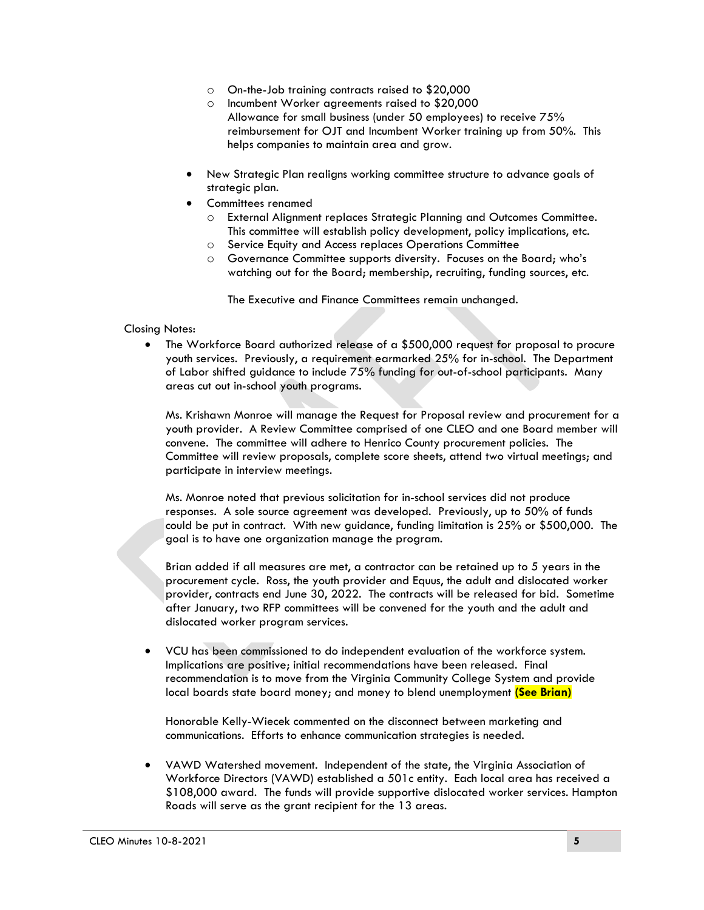- o On-the-Job training contracts raised to \$20,000
- o Incumbent Worker agreements raised to \$20,000 Allowance for small business (under 50 employees) to receive 75% reimbursement for OJT and Incumbent Worker training up from 50%. This helps companies to maintain area and grow.
- New Strategic Plan realigns working committee structure to advance goals of strategic plan.
- Committees renamed
	- o External Alignment replaces Strategic Planning and Outcomes Committee. This committee will establish policy development, policy implications, etc.
	- o Service Equity and Access replaces Operations Committee
	- o Governance Committee supports diversity. Focuses on the Board; who's watching out for the Board; membership, recruiting, funding sources, etc.

The Executive and Finance Committees remain unchanged.

Closing Notes:

 The Workforce Board authorized release of a \$500,000 request for proposal to procure youth services. Previously, a requirement earmarked 25% for in-school. The Department of Labor shifted guidance to include 75% funding for out-of-school participants. Many areas cut out in-school youth programs.

Ms. Krishawn Monroe will manage the Request for Proposal review and procurement for a youth provider. A Review Committee comprised of one CLEO and one Board member will convene. The committee will adhere to Henrico County procurement policies. The Committee will review proposals, complete score sheets, attend two virtual meetings; and participate in interview meetings.

Ms. Monroe noted that previous solicitation for in-school services did not produce responses. A sole source agreement was developed. Previously, up to 50% of funds could be put in contract. With new guidance, funding limitation is 25% or \$500,000. The goal is to have one organization manage the program.

Brian added if all measures are met, a contractor can be retained up to 5 years in the procurement cycle. Ross, the youth provider and Equus, the adult and dislocated worker provider, contracts end June 30, 2022. The contracts will be released for bid. Sometime after January, two RFP committees will be convened for the youth and the adult and dislocated worker program services.

 VCU has been commissioned to do independent evaluation of the workforce system. Implications are positive; initial recommendations have been released. Final recommendation is to move from the Virginia Community College System and provide local boards state board money; and money to blend unemployment **(See Brian)**

Honorable Kelly-Wiecek commented on the disconnect between marketing and communications. Efforts to enhance communication strategies is needed.

 VAWD Watershed movement. Independent of the state, the Virginia Association of Workforce Directors (VAWD) established a 501c entity. Each local area has received a \$108,000 award. The funds will provide supportive dislocated worker services. Hampton Roads will serve as the grant recipient for the 13 areas.